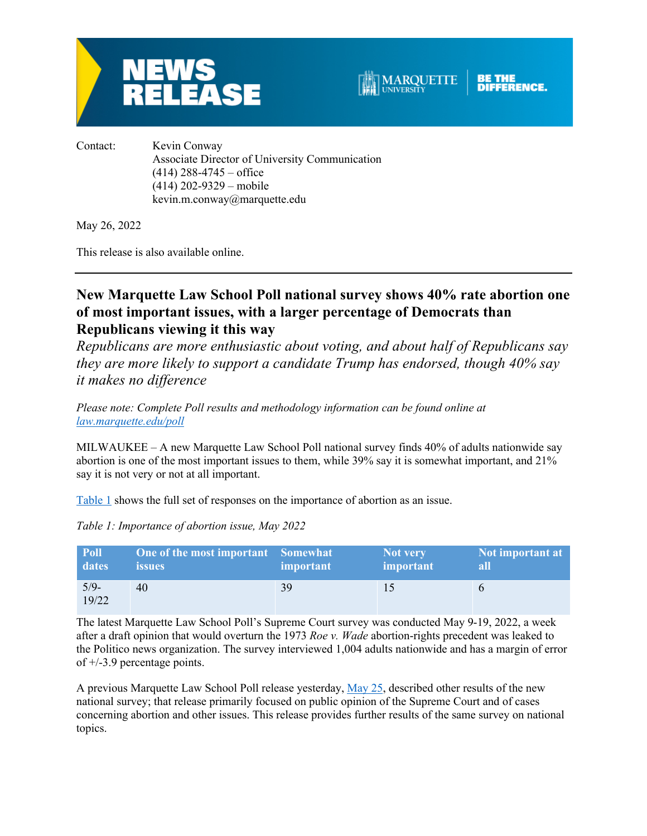



Contact: Kevin Conway Associate Director of University Communication  $(414)$  288-4745 – office (414) 202-9329 – mobile kevin.m.conway@marquette.edu

May 26, 2022

This release is also available online.

# **New Marquette Law School Poll national survey shows 40% rate abortion one of most important issues, with a larger percentage of Democrats than Republicans viewing it this way**

*Republicans are more enthusiastic about voting, and about half of Republicans say they are more likely to support a candidate Trump has endorsed, though 40% say it makes no difference*

*Please note: Complete Poll results and methodology information can be found online at law.marquette.edu/poll*

MILWAUKEE – A new Marquette Law School Poll national survey finds 40% of adults nationwide say abortion is one of the most important issues to them, while 39% say it is somewhat important, and 21% say it is not very or not at all important.

Table 1 shows the full set of responses on the importance of abortion as an issue.

| Poll            | One of the most important Somewhat | important | Not very  | Not important at |
|-----------------|------------------------------------|-----------|-----------|------------------|
| dates           | <i>issues</i>                      |           | important | all              |
| $5/9-$<br>19/22 | 40                                 | 39        | 15        |                  |

*Table 1: Importance of abortion issue, May 2022*

The latest Marquette Law School Poll's Supreme Court survey was conducted May 9-19, 2022, a week after a draft opinion that would overturn the 1973 *Roe v. Wade* abortion-rights precedent was leaked to the Politico news organization. The survey interviewed 1,004 adults nationwide and has a margin of error of +/-3.9 percentage points.

A previous Marquette Law School Poll release yesterday, May 25, described other results of the new national survey; that release primarily focused on public opinion of the Supreme Court and of cases concerning abortion and other issues. This release provides further results of the same survey on national topics.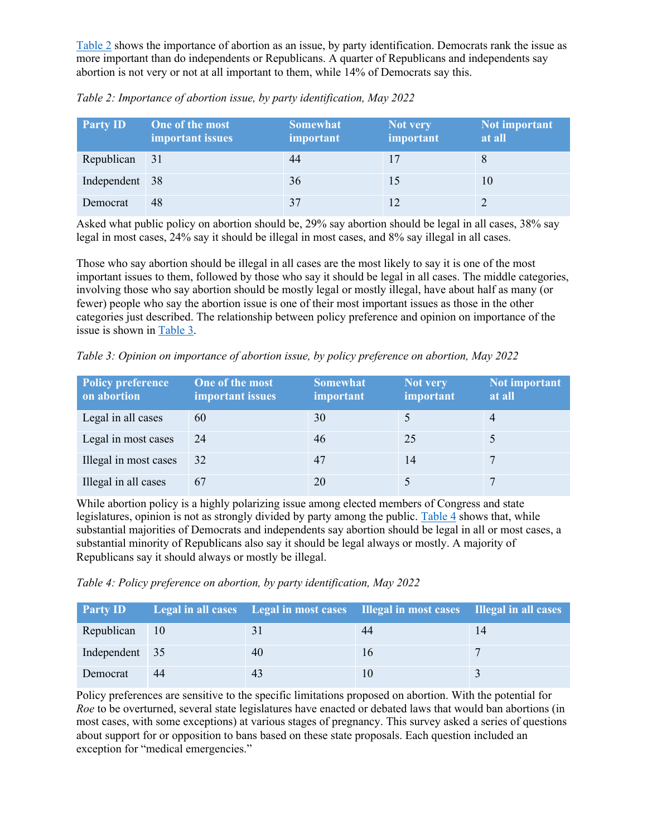Table 2 shows the importance of abortion as an issue, by party identification. Democrats rank the issue as more important than do independents or Republicans. A quarter of Republicans and independents say abortion is not very or not at all important to them, while 14% of Democrats say this.

| <b>Party ID</b> | One of the most<br>important issues | <b>Somewhat</b><br>important | Not very<br>important | Not important<br>at all |
|-----------------|-------------------------------------|------------------------------|-----------------------|-------------------------|
| Republican      | - 31                                | 44                           |                       |                         |
| Independent 38  |                                     | 36                           | 15                    | 10                      |
| Democrat        | 48                                  | 37                           |                       |                         |

*Table 2: Importance of abortion issue, by party identification, May 2022*

Asked what public policy on abortion should be, 29% say abortion should be legal in all cases, 38% say legal in most cases, 24% say it should be illegal in most cases, and 8% say illegal in all cases.

Those who say abortion should be illegal in all cases are the most likely to say it is one of the most important issues to them, followed by those who say it should be legal in all cases. The middle categories, involving those who say abortion should be mostly legal or mostly illegal, have about half as many (or fewer) people who say the abortion issue is one of their most important issues as those in the other categories just described. The relationship between policy preference and opinion on importance of the issue is shown in Table 3.

*Table 3: Opinion on importance of abortion issue, by policy preference on abortion, May 2022*

| <b>Policy preference</b><br>on abortion | One of the most<br>important issues | <b>Somewhat</b><br><i>important</i> | Not very<br>important | Not important<br>at all |
|-----------------------------------------|-------------------------------------|-------------------------------------|-----------------------|-------------------------|
| Legal in all cases                      | 60                                  | 30                                  |                       | $\overline{4}$          |
| Legal in most cases                     | 24                                  | 46                                  | 25                    |                         |
| Illegal in most cases                   | 32                                  | 47                                  | 14                    |                         |
| Illegal in all cases                    | 67                                  | 20                                  |                       |                         |

While abortion policy is a highly polarizing issue among elected members of Congress and state legislatures, opinion is not as strongly divided by party among the public. Table 4 shows that, while substantial majorities of Democrats and independents say abortion should be legal in all or most cases, a substantial minority of Republicans also say it should be legal always or mostly. A majority of Republicans say it should always or mostly be illegal.

*Table 4: Policy preference on abortion, by party identification, May 2022*

| <b>Party ID</b> |    |    | Legal in all cases Legal in most cases Illegal in most cases Illegal in all cases |  |
|-----------------|----|----|-----------------------------------------------------------------------------------|--|
| Republican 10   |    |    | 44                                                                                |  |
| Independent 35  |    | 40 | 16                                                                                |  |
| Democrat        | 44 |    |                                                                                   |  |

Policy preferences are sensitive to the specific limitations proposed on abortion. With the potential for *Roe* to be overturned, several state legislatures have enacted or debated laws that would ban abortions (in most cases, with some exceptions) at various stages of pregnancy. This survey asked a series of questions about support for or opposition to bans based on these state proposals. Each question included an exception for "medical emergencies."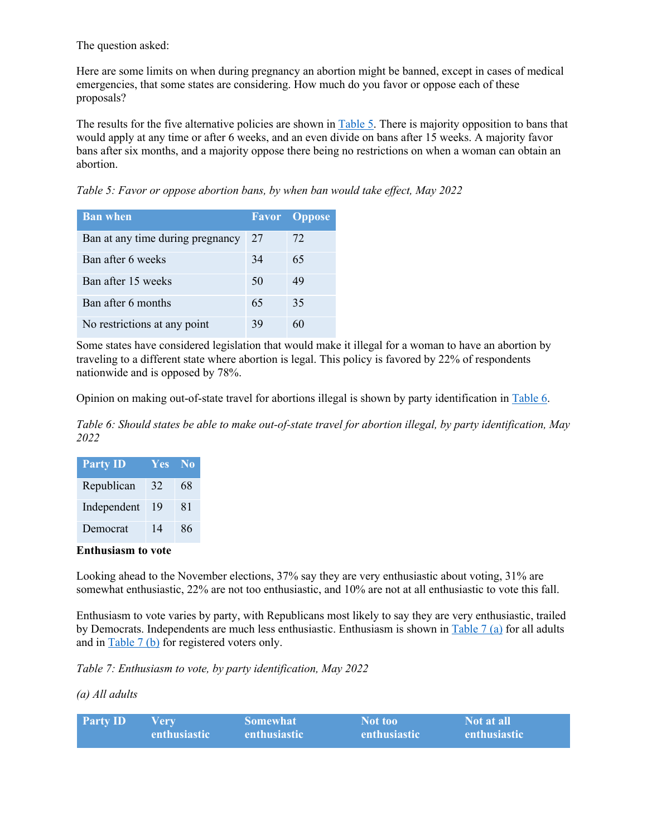The question asked:

Here are some limits on when during pregnancy an abortion might be banned, except in cases of medical emergencies, that some states are considering. How much do you favor or oppose each of these proposals?

The results for the five alternative policies are shown in Table 5. There is majority opposition to bans that would apply at any time or after 6 weeks, and an even divide on bans after 15 weeks. A majority favor bans after six months, and a majority oppose there being no restrictions on when a woman can obtain an abortion.

*Table 5: Favor or oppose abortion bans, by when ban would take effect, May 2022*

| <b>Ban when</b>                  |    | <b>Favor</b> Oppose |
|----------------------------------|----|---------------------|
| Ban at any time during pregnancy | 27 | 72                  |
| Ban after 6 weeks                | 34 | 65                  |
| Ban after 15 weeks               | 50 | 49                  |
| Ban after 6 months               | 65 | 35                  |
| No restrictions at any point     | 39 | 60                  |

Some states have considered legislation that would make it illegal for a woman to have an abortion by traveling to a different state where abortion is legal. This policy is favored by 22% of respondents nationwide and is opposed by 78%.

Opinion on making out-of-state travel for abortions illegal is shown by party identification in Table 6.

*Table 6: Should states be able to make out-of-state travel for abortion illegal, by party identification, May 2022*

| <b>Party ID</b> | <b>Yes</b> | - No |
|-----------------|------------|------|
| Republican      | 32         | 68   |
| Independent     | 19         | 81   |
| Democrat        | 14         | 86   |

#### **Enthusiasm to vote**

Looking ahead to the November elections, 37% say they are very enthusiastic about voting, 31% are somewhat enthusiastic, 22% are not too enthusiastic, and 10% are not at all enthusiastic to vote this fall.

Enthusiasm to vote varies by party, with Republicans most likely to say they are very enthusiastic, trailed by Democrats. Independents are much less enthusiastic. Enthusiasm is shown in Table 7 (a) for all adults and in Table 7 (b) for registered voters only.

*Table 7: Enthusiasm to vote, by party identification, May 2022*

*(a) All adults*

| <b>Party ID</b> | V erv-       | <b>Somewhat</b> | Not too!            | Not at all          |
|-----------------|--------------|-----------------|---------------------|---------------------|
|                 | enthusiastic | enthusiastic    | <b>enthusiastic</b> | <b>enthusiastic</b> |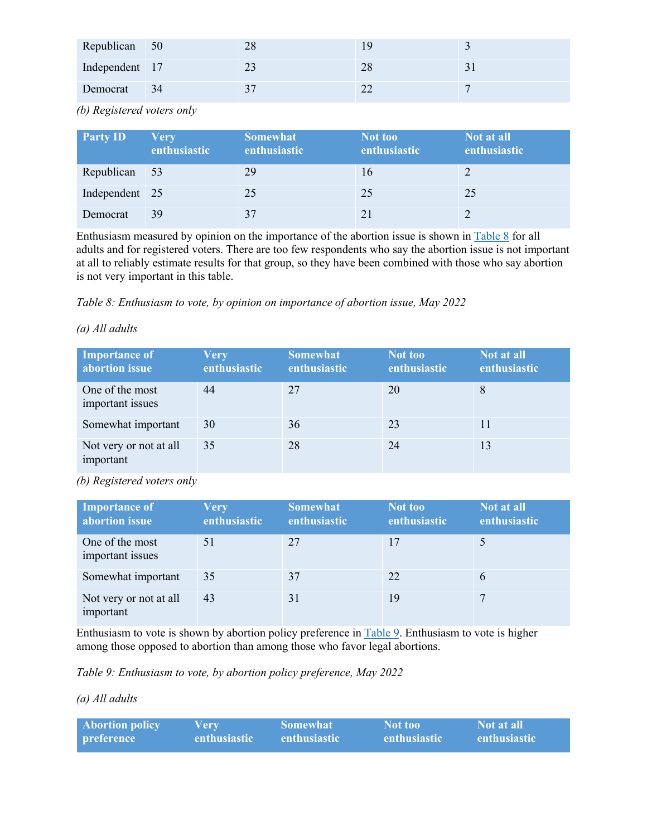| Republican 50  |      | 28 |    |  |
|----------------|------|----|----|--|
| Independent 17 |      |    | 28 |  |
| Democrat       | - 34 |    |    |  |

*(b) Registered voters only*

| <b>Party ID</b> | <b>Very</b><br>enthusiastic | <b>Somewhat</b><br>enthusiastic | Not too<br>enthusiastic | Not at all<br>enthusiastic |
|-----------------|-----------------------------|---------------------------------|-------------------------|----------------------------|
| Republican 53   |                             | 29                              | 16                      |                            |
| Independent 25  |                             | 25                              | 25                      | 25                         |
| Democrat        | 39                          | 37                              |                         |                            |

Enthusiasm measured by opinion on the importance of the abortion issue is shown in Table 8 for all adults and for registered voters. There are too few respondents who say the abortion issue is not important at all to reliably estimate results for that group, so they have been combined with those who say abortion is not very important in this table.

*Table 8: Enthusiasm to vote, by opinion on importance of abortion issue, May 2022*

## *(a) All adults*

| Importance of<br>abortion issue     | <b>Very</b><br>enthusiastic | <b>Somewhat</b><br>enthusiastic | Not too<br>enthusiastic | Not at all<br>enthusiastic |
|-------------------------------------|-----------------------------|---------------------------------|-------------------------|----------------------------|
| One of the most<br>important issues | 44                          | 27                              | 20                      |                            |
| Somewhat important                  | 30                          | 36                              | 23                      | 11                         |
| Not very or not at all<br>important | 35                          | 28                              | 24                      | 13                         |

*(b) Registered voters only*

| <b>Importance of</b><br>abortion issue | <b>Very</b><br>enthusiastic | <b>Somewhat</b><br>enthusiastic | Not too<br>enthusiastic | Not at all<br>enthusiastic |
|----------------------------------------|-----------------------------|---------------------------------|-------------------------|----------------------------|
| One of the most<br>important issues    | 51                          | 27                              | 17                      |                            |
| Somewhat important                     | 35                          | 37                              | 22                      | 6                          |
| Not very or not at all<br>important    | 43                          | 31                              | 19                      |                            |

Enthusiasm to vote is shown by abortion policy preference in Table 9. Enthusiasm to vote is higher among those opposed to abortion than among those who favor legal abortions.

*Table 9: Enthusiasm to vote, by abortion policy preference, May 2022*

*(a) All adults*

| <b>Abortion policy</b> | Verv         | <b>Somewhat</b>     | Not too      | Not at all          |
|------------------------|--------------|---------------------|--------------|---------------------|
| <i>preference</i>      | enthusiastic | <b>enthusiastic</b> | enthusiastic | <b>enthusiastic</b> |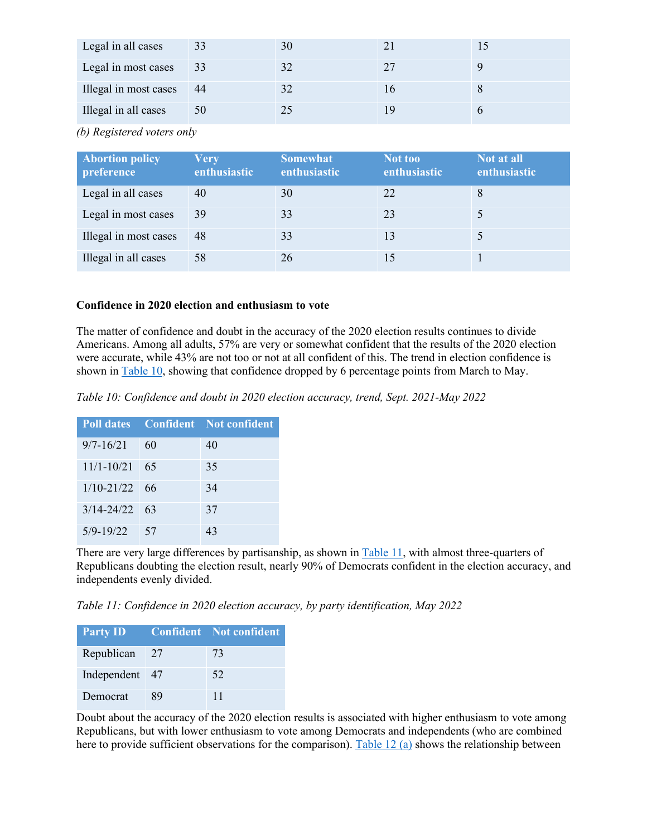| Legal in all cases    | 33  | 30 |  |
|-----------------------|-----|----|--|
| Legal in most cases   | 33  |    |  |
| Illegal in most cases | -44 |    |  |
| Illegal in all cases  | 50  |    |  |

*(b) Registered voters only*

| <b>Abortion policy</b><br>preference | <b>Very</b><br>enthusiastic | <b>Somewhat</b><br>enthusiastic | Not too<br>enthusiastic | Not at all<br>enthusiastic |
|--------------------------------------|-----------------------------|---------------------------------|-------------------------|----------------------------|
| Legal in all cases                   | 40                          | 30                              | 22                      | 8                          |
| Legal in most cases                  | 39                          | 33                              | 23                      |                            |
| Illegal in most cases                | 48                          | 33                              | 13                      |                            |
| Illegal in all cases                 | 58                          | 26                              | 15                      |                            |

# **Confidence in 2020 election and enthusiasm to vote**

The matter of confidence and doubt in the accuracy of the 2020 election results continues to divide Americans. Among all adults, 57% are very or somewhat confident that the results of the 2020 election were accurate, while 43% are not too or not at all confident of this. The trend in election confidence is shown in Table 10, showing that confidence dropped by 6 percentage points from March to May.

*Table 10: Confidence and doubt in 2020 election accuracy, trend, Sept. 2021-May 2022*

|                   |      | <b>Poll dates</b> Confident Not confident |
|-------------------|------|-------------------------------------------|
| $9/7 - 16/21$     | 60   | 40                                        |
| $11/1 - 10/21$    | - 65 | 35                                        |
| $1/10 - 21/22$ 66 |      | 34                                        |
| $3/14 - 24/22$ 63 |      | 37                                        |
| $5/9 - 19/22$     | - 57 | 43                                        |

There are very large differences by partisanship, as shown in Table 11, with almost three-quarters of Republicans doubting the election result, nearly 90% of Democrats confident in the election accuracy, and independents evenly divided.

*Table 11: Confidence in 2020 election accuracy, by party identification, May 2022*

| <b>Party ID</b> |    | <b>Confident</b> Not confident |
|-----------------|----|--------------------------------|
| Republican $27$ |    | 73                             |
| Independent 47  |    | 52                             |
| Democrat        | X9 | 11                             |

Doubt about the accuracy of the 2020 election results is associated with higher enthusiasm to vote among Republicans, but with lower enthusiasm to vote among Democrats and independents (who are combined here to provide sufficient observations for the comparison). Table 12 (a) shows the relationship between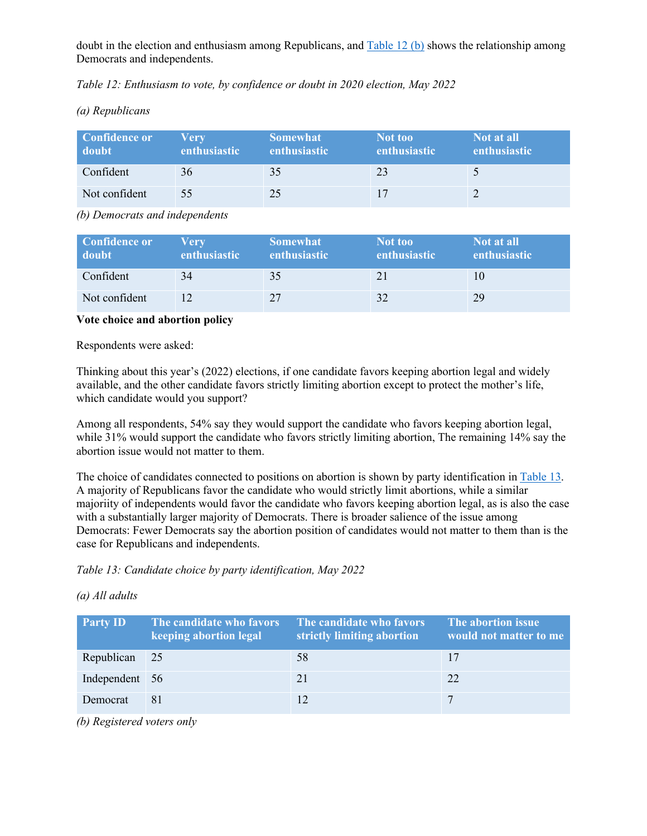doubt in the election and enthusiasm among Republicans, and Table 12 (b) shows the relationship among Democrats and independents.

*Table 12: Enthusiasm to vote, by confidence or doubt in 2020 election, May 2022*

*(a) Republicans*

| <b>Confidence or</b><br>doubt | Verv<br>enthusiastic | <b>Somewhat</b><br>enthusiastic | Not too<br><b>enthusiastic</b> | Not at all<br><b>enthusiastic</b> |
|-------------------------------|----------------------|---------------------------------|--------------------------------|-----------------------------------|
| Confident                     | 36                   | 35                              | 23                             |                                   |
| Not confident                 | 55                   | 25                              | 17                             |                                   |

*(b) Democrats and independents*

| <b>Confidence or</b><br>doubt | Verv<br><b>enthusiastic</b> | <b>Somewhat</b><br><b>enthusiastic</b> | Not too<br><b>enthusiastic</b> | Not at all<br><b>enthusiastic</b> |
|-------------------------------|-----------------------------|----------------------------------------|--------------------------------|-----------------------------------|
| Confident                     | 34                          | 35                                     | 21                             |                                   |
| Not confident                 |                             | 27                                     | 32                             | 29                                |

**Vote choice and abortion policy**

Respondents were asked:

Thinking about this year's (2022) elections, if one candidate favors keeping abortion legal and widely available, and the other candidate favors strictly limiting abortion except to protect the mother's life, which candidate would you support?

Among all respondents, 54% say they would support the candidate who favors keeping abortion legal, while 31% would support the candidate who favors strictly limiting abortion, The remaining 14% say the abortion issue would not matter to them.

The choice of candidates connected to positions on abortion is shown by party identification in Table 13. A majority of Republicans favor the candidate who would strictly limit abortions, while a similar majoriity of independents would favor the candidate who favors keeping abortion legal, as is also the case with a substantially larger majority of Democrats. There is broader salience of the issue among Democrats: Fewer Democrats say the abortion position of candidates would not matter to them than is the case for Republicans and independents.

*Table 13: Candidate choice by party identification, May 2022*

|  |  | (a) All adults |
|--|--|----------------|
|--|--|----------------|

| <b>Party ID</b> | The candidate who favors<br>keeping abortion legal | The candidate who favors<br>strictly limiting abortion | The abortion issue<br>would not matter to me |
|-----------------|----------------------------------------------------|--------------------------------------------------------|----------------------------------------------|
| Republican 25   |                                                    | 58                                                     | 17                                           |
| Independent 56  |                                                    | 21                                                     | 22                                           |
| Democrat        | 81                                                 | 12                                                     |                                              |

*(b) Registered voters only*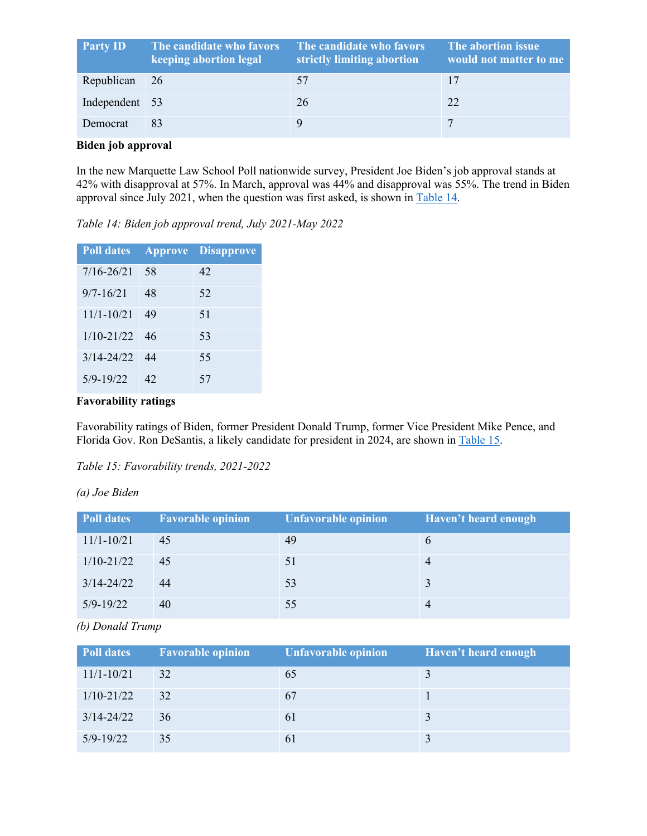| <b>Party ID</b> | The candidate who favors<br>keeping abortion legal | The candidate who favors<br>strictly limiting abortion | The abortion issue<br>would not matter to me |
|-----------------|----------------------------------------------------|--------------------------------------------------------|----------------------------------------------|
| Republican      | <sup>26</sup>                                      | 57                                                     |                                              |
| Independent 53  |                                                    | 26                                                     | 22                                           |
| Democrat        | 83                                                 |                                                        | 7                                            |

#### **Biden job approval**

In the new Marquette Law School Poll nationwide survey, President Joe Biden's job approval stands at 42% with disapproval at 57%. In March, approval was 44% and disapproval was 55%. The trend in Biden approval since July 2021, when the question was first asked, is shown in Table 14.

*Table 14: Biden job approval trend, July 2021-May 2022*

| <b>Poll dates</b> | <b>Approve</b> | <b>Disapprove</b> |
|-------------------|----------------|-------------------|
| $7/16 - 26/21$    | 58             | 42                |
| $9/7 - 16/21$     | 48             | 52                |
| $11/1 - 10/21$    | 49             | 51                |
| $1/10 - 21/22$    | 46             | 53                |
| $3/14 - 24/22$    | 44             | 55                |
| $5/9 - 19/22$     | 42             | 57                |

# **Favorability ratings**

Favorability ratings of Biden, former President Donald Trump, former Vice President Mike Pence, and Florida Gov. Ron DeSantis, a likely candidate for president in 2024, are shown in Table 15.

*Table 15: Favorability trends, 2021-2022*

*(a) Joe Biden*

| <b>Poll dates</b> | <b>Favorable opinion</b> | <b>Unfavorable opinion</b> | Haven't heard enough |
|-------------------|--------------------------|----------------------------|----------------------|
| $11/1 - 10/21$    | 45                       | 49                         |                      |
| $1/10 - 21/22$    | 45                       | 51                         |                      |
| $3/14 - 24/22$    | 44                       | 53                         |                      |
| $5/9 - 19/22$     | 40                       | 55                         |                      |

*(b) Donald Trump*

| <b>Poll dates</b> | <b>Favorable opinion</b> | <b>Unfavorable opinion</b> | Haven't heard enough |
|-------------------|--------------------------|----------------------------|----------------------|
| $11/1 - 10/21$    | 32                       | 65                         |                      |
| $1/10 - 21/22$    | 32                       | 67                         |                      |
| $3/14 - 24/22$    | 36                       | 61                         |                      |
| $5/9 - 19/22$     | 35                       | 61                         |                      |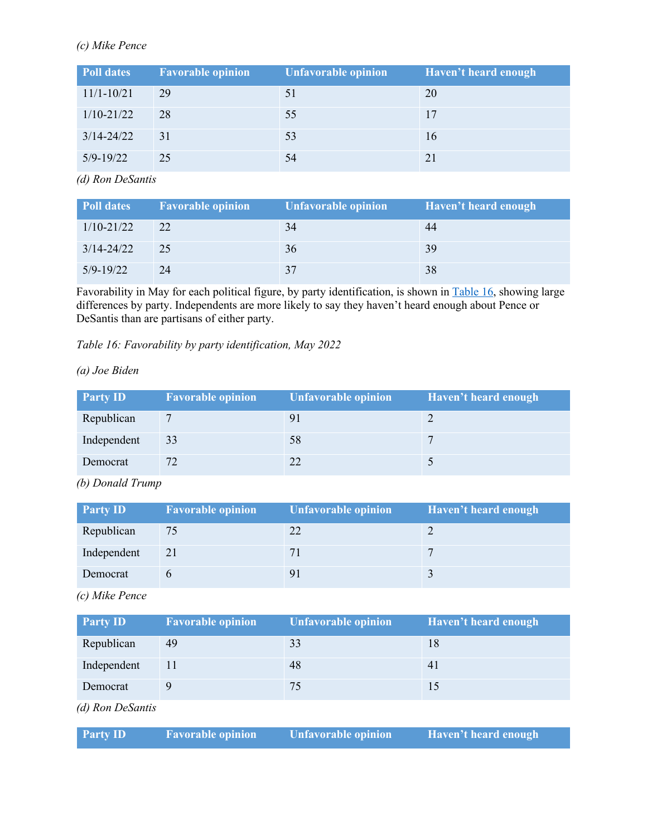## *(c) Mike Pence*

| <b>Poll dates</b> | <b>Favorable opinion</b> | Unfavorable opinion | Haven't heard enough |
|-------------------|--------------------------|---------------------|----------------------|
| $11/1 - 10/21$    | 29                       | 51                  | 20                   |
| $1/10 - 21/22$    | 28                       | 55                  | 17                   |
| $3/14 - 24/22$    | 31                       | 53                  | 16                   |
| $5/9 - 19/22$     | 25                       | 54                  | 21                   |

*(d) Ron DeSantis*

| Poll dates     | <b>Favorable opinion</b> | Unfavorable opinion | Haven't heard enough |
|----------------|--------------------------|---------------------|----------------------|
| $1/10 - 21/22$ | 22                       | 34                  | 44                   |
| $3/14 - 24/22$ | 25                       | 36                  | 39                   |
| $5/9 - 19/22$  | 24                       | 37                  | 38                   |

Favorability in May for each political figure, by party identification, is shown in Table 16, showing large differences by party. Independents are more likely to say they haven't heard enough about Pence or DeSantis than are partisans of either party.

*Table 16: Favorability by party identification, May 2022*

*(a) Joe Biden*

| <b>Party ID</b> | <b>Favorable opinion</b> | <b>Unfavorable opinion</b> | Haven't heard enough |
|-----------------|--------------------------|----------------------------|----------------------|
| Republican      |                          |                            |                      |
| Independent     | 33                       | 58                         |                      |
| Democrat        |                          |                            |                      |

*(b) Donald Trump*

| <b>Party ID</b> | <b>Favorable opinion</b> | <b>Unfavorable opinion</b> | Haven't heard enough |
|-----------------|--------------------------|----------------------------|----------------------|
| Republican      | 75                       |                            |                      |
| Independent     | 21                       |                            |                      |
| Democrat        |                          |                            |                      |

*(c) Mike Pence*

| <b>Party ID</b>  | <b>Favorable opinion</b> | <b>Unfavorable opinion</b> | Haven't heard enough |
|------------------|--------------------------|----------------------------|----------------------|
| Republican       | 49                       | 33                         | 18                   |
| Independent      | 11                       | 48                         | 41                   |
| Democrat         |                          | 75                         | 15                   |
| (d) Ron DeSantis |                          |                            |                      |

| <b>Party ID</b> | <b>Favorable opinion</b> | Unfavorable opinion | Haven't heard enough |
|-----------------|--------------------------|---------------------|----------------------|
|                 |                          |                     |                      |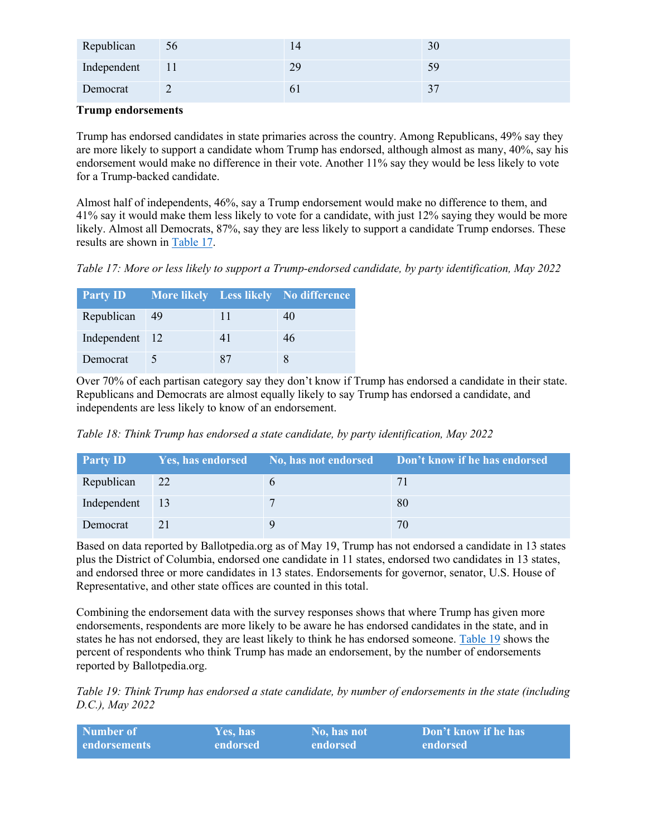| Republican  | 56   | 14           | 30 |
|-------------|------|--------------|----|
| Independent | - 11 | 29           | 59 |
| Democrat    |      | $\mathbf{0}$ |    |

#### **Trump endorsements**

Trump has endorsed candidates in state primaries across the country. Among Republicans, 49% say they are more likely to support a candidate whom Trump has endorsed, although almost as many, 40%, say his endorsement would make no difference in their vote. Another 11% say they would be less likely to vote for a Trump-backed candidate.

Almost half of independents, 46%, say a Trump endorsement would make no difference to them, and 41% say it would make them less likely to vote for a candidate, with just 12% saying they would be more likely. Almost all Democrats, 87%, say they are less likely to support a candidate Trump endorses. These results are shown in Table 17.

*Table 17: More or less likely to support a Trump-endorsed candidate, by party identification, May 2022*

| <b>Party ID</b> |    | <b>EXECUTE:</b> More likely Less likely No difference |
|-----------------|----|-------------------------------------------------------|
| Republican 49   | 11 | 40                                                    |
| Independent 12  | 41 | 46                                                    |
| Democrat        | 87 |                                                       |

Over 70% of each partisan category say they don't know if Trump has endorsed a candidate in their state. Republicans and Democrats are almost equally likely to say Trump has endorsed a candidate, and independents are less likely to know of an endorsement.

*Table 18: Think Trump has endorsed a state candidate, by party identification, May 2022*

| <b>Party ID</b> |    | Yes, has endorsed No, has not endorsed Don't know if he has endorsed |
|-----------------|----|----------------------------------------------------------------------|
| Republican      | 22 |                                                                      |
| Independent 13  |    | 80                                                                   |
| Democrat        | 21 | 70                                                                   |

Based on data reported by Ballotpedia.org as of May 19, Trump has not endorsed a candidate in 13 states plus the District of Columbia, endorsed one candidate in 11 states, endorsed two candidates in 13 states, and endorsed three or more candidates in 13 states. Endorsements for governor, senator, U.S. House of Representative, and other state offices are counted in this total.

Combining the endorsement data with the survey responses shows that where Trump has given more endorsements, respondents are more likely to be aware he has endorsed candidates in the state, and in states he has not endorsed, they are least likely to think he has endorsed someone. Table 19 shows the percent of respondents who think Trump has made an endorsement, by the number of endorsements reported by Ballotpedia.org.

*Table 19: Think Trump has endorsed a state candidate, by number of endorsements in the state (including D.C.), May 2022*

| Number of    | <b>Yes. has</b> | 'No. has not | <b>Don't know if he has</b> |
|--------------|-----------------|--------------|-----------------------------|
| endorsements | endorsed        | endorsed     | endorsed                    |